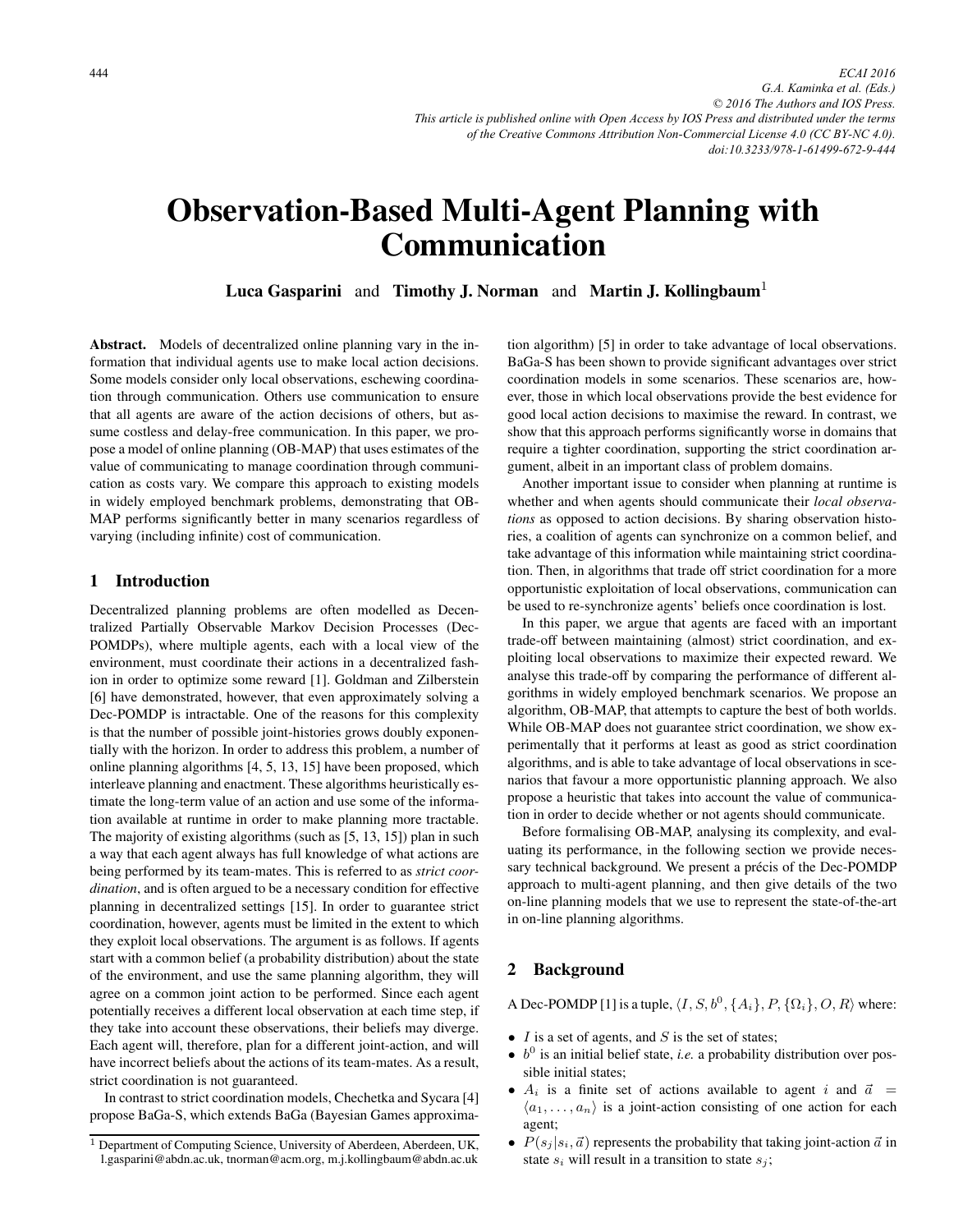# Observation-Based Multi-Agent Planning with Communication

**Luca Gasparini** and Timothy J. Norman and Martin J. Kollingbaum<sup>1</sup>

Abstract. Models of decentralized online planning vary in the information that individual agents use to make local action decisions. Some models consider only local observations, eschewing coordination through communication. Others use communication to ensure that all agents are aware of the action decisions of others, but assume costless and delay-free communication. In this paper, we propose a model of online planning (OB-MAP) that uses estimates of the value of communicating to manage coordination through communication as costs vary. We compare this approach to existing models in widely employed benchmark problems, demonstrating that OB-MAP performs significantly better in many scenarios regardless of varying (including infinite) cost of communication.

# 1 Introduction

Decentralized planning problems are often modelled as Decentralized Partially Observable Markov Decision Processes (Dec-POMDPs), where multiple agents, each with a local view of the environment, must coordinate their actions in a decentralized fashion in order to optimize some reward [1]. Goldman and Zilberstein [6] have demonstrated, however, that even approximately solving a Dec-POMDP is intractable. One of the reasons for this complexity is that the number of possible joint-histories grows doubly exponentially with the horizon. In order to address this problem, a number of online planning algorithms [4, 5, 13, 15] have been proposed, which interleave planning and enactment. These algorithms heuristically estimate the long-term value of an action and use some of the information available at runtime in order to make planning more tractable. The majority of existing algorithms (such as [5, 13, 15]) plan in such a way that each agent always has full knowledge of what actions are being performed by its team-mates. This is referred to as *strict coordination*, and is often argued to be a necessary condition for effective planning in decentralized settings [15]. In order to guarantee strict coordination, however, agents must be limited in the extent to which they exploit local observations. The argument is as follows. If agents start with a common belief (a probability distribution) about the state of the environment, and use the same planning algorithm, they will agree on a common joint action to be performed. Since each agent potentially receives a different local observation at each time step, if they take into account these observations, their beliefs may diverge. Each agent will, therefore, plan for a different joint-action, and will have incorrect beliefs about the actions of its team-mates. As a result, strict coordination is not guaranteed.

In contrast to strict coordination models, Chechetka and Sycara [4] propose BaGa-S, which extends BaGa (Bayesian Games approximation algorithm) [5] in order to take advantage of local observations. BaGa-S has been shown to provide significant advantages over strict coordination models in some scenarios. These scenarios are, however, those in which local observations provide the best evidence for good local action decisions to maximise the reward. In contrast, we show that this approach performs significantly worse in domains that require a tighter coordination, supporting the strict coordination argument, albeit in an important class of problem domains.

Another important issue to consider when planning at runtime is whether and when agents should communicate their *local observations* as opposed to action decisions. By sharing observation histories, a coalition of agents can synchronize on a common belief, and take advantage of this information while maintaining strict coordination. Then, in algorithms that trade off strict coordination for a more opportunistic exploitation of local observations, communication can be used to re-synchronize agents' beliefs once coordination is lost.

In this paper, we argue that agents are faced with an important trade-off between maintaining (almost) strict coordination, and exploiting local observations to maximize their expected reward. We analyse this trade-off by comparing the performance of different algorithms in widely employed benchmark scenarios. We propose an algorithm, OB-MAP, that attempts to capture the best of both worlds. While OB-MAP does not guarantee strict coordination, we show experimentally that it performs at least as good as strict coordination algorithms, and is able to take advantage of local observations in scenarios that favour a more opportunistic planning approach. We also propose a heuristic that takes into account the value of communication in order to decide whether or not agents should communicate.

Before formalising OB-MAP, analysing its complexity, and evaluating its performance, in the following section we provide necessary technical background. We present a précis of the Dec-POMDP approach to multi-agent planning, and then give details of the two on-line planning models that we use to represent the state-of-the-art in on-line planning algorithms.

# 2 Background

A Dec-POMDP [1] is a tuple,  $\langle I, S, b^0, \{A_i\}, P, \{\Omega_i\}, O, R \rangle$  where:

- $I$  is a set of agents, and  $S$  is the set of states;
- $\bullet$  b<sup>0</sup> is an initial belief state, *i.e.* a probability distribution over possible initial states;
- $A_i$  is a finite set of actions available to agent i and  $\vec{a} =$  $\langle a_1, \ldots, a_n \rangle$  is a joint-action consisting of one action for each agent;
- $P(s_j | s_i, \vec{a})$  represents the probability that taking joint-action  $\vec{a}$  in state  $s_i$ , will result in a transition to state  $s_i$ . state  $s_i$  will result in a transition to state  $s_j$ ;

<sup>1</sup> Department of Computing Science, University of Aberdeen, Aberdeen, UK, l.gasparini@abdn.ac.uk, tnorman@acm.org, m.j.kollingbaum@abdn.ac.uk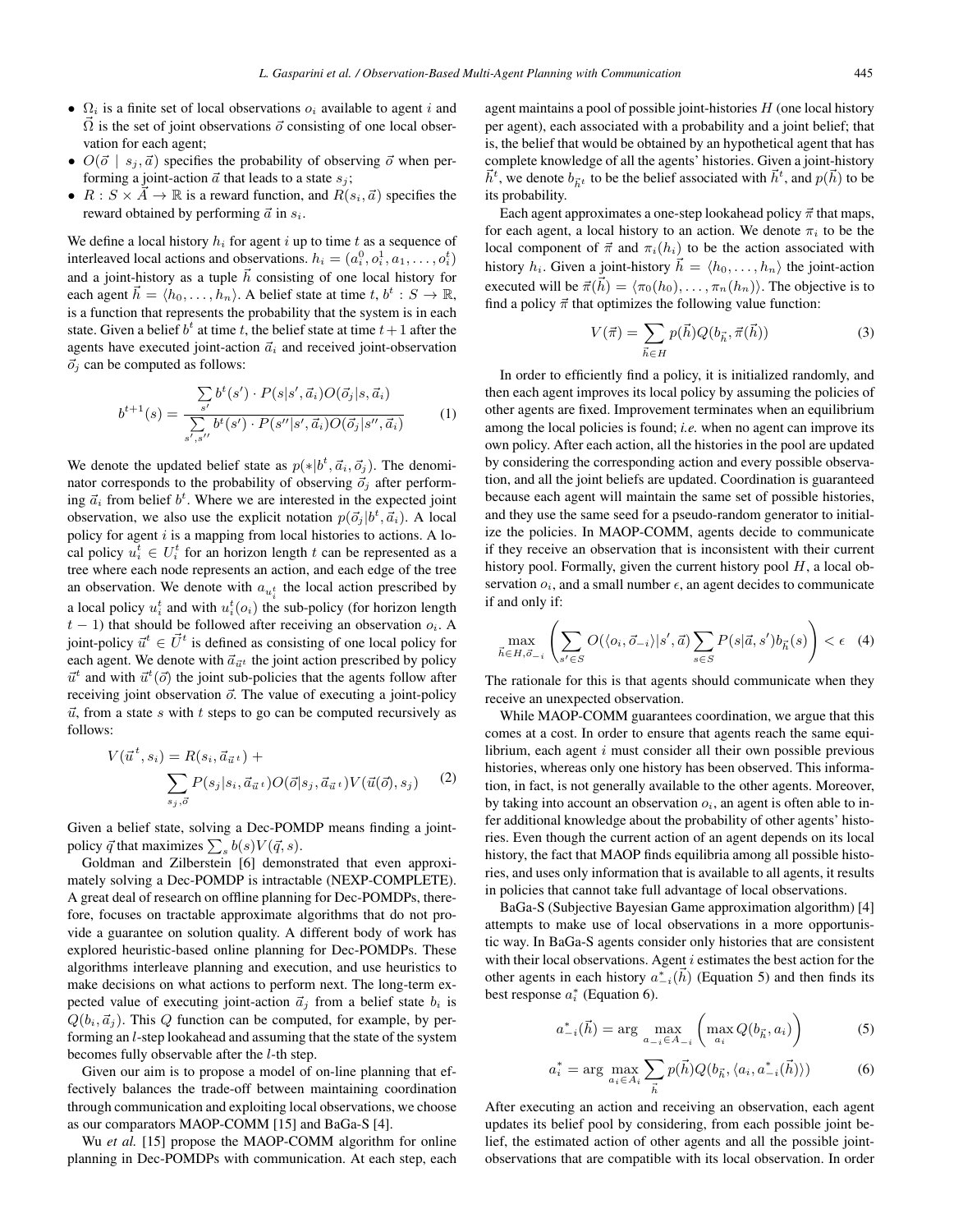- $\Omega_i$  is a finite set of local observations  $o_i$  available to agent i and  $\vec{\Omega}$  is the set of joint observations  $\vec{o}$  consisting of one local observation for each agent: vation for each agent;
- $O(\vec{\sigma} \mid s_j, \vec{a})$  specifies the probability of observing  $\vec{\sigma}$  when per-<br>forming a joint-action  $\vec{\sigma}$  that leads to a state s. forming a joint-action  $\vec{a}$  that leads to a state  $s_j$ ;
- $R : S \times \overrightarrow{A} \to \mathbb{R}$  is a reward function, and  $R(s_i, \vec{a})$  specifies the reward obtained by performing  $\vec{a}$  in s. reward obtained by performing  $\vec{a}$  in  $s_i$ .

We define a local history  $h_i$  for agent i up to time t as a sequence of interleaved local actions and observations.  $h_i = (a_i^0, o_i^1, a_1, \dots, o_i^t)$ <br>and a joint history as a tuple  $\vec{b}$  consisting of one local history for interied to the actions and observations.  $n_i - (a_i, o_i, a_1, \dots, o_i)$ <br>and a joint-history as a tuple  $\vec{h}$  consisting of one local history for each agent  $\vec{h} = \langle h_0, \ldots, h_n \rangle$ . A belief state at time  $t, b^t : S \to \mathbb{R}$ , is a function that represents the probability that the system is in each is a function that represents the probability that the system is in each state. Given a belief  $b^t$  at time t, the belief state at time  $t+1$  after the agents have executed joint-action  $\vec{a}_i$  and received joint-observation  $\vec{o}_j$  can be computed as follows:

$$
b^{t+1}(s) = \frac{\sum_{s'} b^t(s') \cdot P(s|s', \vec{a}_i) O(\vec{o}_j|s, \vec{a}_i)}{\sum_{s',s''} b^t(s') \cdot P(s''|s', \vec{a}_i) O(\vec{o}_j|s'', \vec{a}_i)}
$$
(1)

We denote the updated belief state as  $p(*|b^t, \vec{a}_i, \vec{\sigma}_j)$ . The denominator corresponds to the probability of observing  $\vec{\sigma}_i$  after performnator corresponds to the probability of observing  $\vec{o}_j$  after performing  $\vec{a}_i$  from belief  $b^t$ . Where we are interested in the expected joint observation, we also use the explicit notation  $p(\vec{o}_j | b^t, \vec{a}_i)$ . A local notice to actions A lopolicy for agent  $i$  is a mapping from local histories to actions. A local policy  $u_i^t \in U_i^t$  for an horizon length t can be represented as a tree where each node represents an action, and each edge of the tree an observation. We denote with  $a_{u_i^t}$  the local action prescribed by a local policy  $u_i^t$  and with  $u_i^t(o_i)$  the sub-policy (for horizon length  $t-1$ ) that should be followed after receiving an observation  $o_i$ .  $t - 1$ ) that should be followed after receiving an observation  $o_i$ . A joint-policy  $\vec{u}^t \in \vec{U}^t$  is defined as consisting of one local policy for each agent. We denote with  $\vec{a}_{\vec{u}^t}$  the joint action prescribed by policy  $\vec{u}^t$  and with  $\vec{u}^t(\vec{o})$  the joint sub-policies that the agents follow after<br>receiving joint observation  $\vec{o}$ . The value of executing a joint policy receiving joint observation  $\vec{o}$ . The value of executing a joint-policy  $\vec{u}$ , from a state s with t steps to go can be computed recursively as follows:

$$
V(\vec{u}^t, s_i) = R(s_i, \vec{a}_{\vec{u}^t}) + \sum_{s_j, \vec{o}} P(s_j | s_i, \vec{a}_{\vec{u}^t}) O(\vec{o}|s_j, \vec{a}_{\vec{u}^t}) V(\vec{u}(\vec{o}), s_j)
$$
 (2)

Given a belief state, solving a Dec-POMDP means finding a jointpolicy  $\vec{q}$  that maximizes  $\sum_{s} b(s) V(\vec{q}, s)$ .<br>Goldman, and Zilberstein [6] demons

Goldman and Zilberstein [6] demonstrated that even approximately solving a Dec-POMDP is intractable (NEXP-COMPLETE). A great deal of research on offline planning for Dec-POMDPs, therefore, focuses on tractable approximate algorithms that do not provide a guarantee on solution quality. A different body of work has explored heuristic-based online planning for Dec-POMDPs. These algorithms interleave planning and execution, and use heuristics to make decisions on what actions to perform next. The long-term expected value of executing joint-action  $\vec{a}_j$  from a belief state  $b_i$  is  $Q(b_i, \vec{a}_j)$ . This Q function can be computed, for example, by per-<br>forming an *l*-step lookabeed and assuming that the state of the system forming an l-step lookahead and assuming that the state of the system becomes fully observable after the l-th step.

Given our aim is to propose a model of on-line planning that effectively balances the trade-off between maintaining coordination through communication and exploiting local observations, we choose as our comparators MAOP-COMM [15] and BaGa-S [4].

Wu *et al.* [15] propose the MAOP-COMM algorithm for online planning in Dec-POMDPs with communication. At each step, each agent maintains a pool of possible joint-histories  $H$  (one local history per agent), each associated with a probability and a joint belief; that is, the belief that would be obtained by an hypothetical agent that has complete knowledge of all the agents' histories. Given a joint-history  $\vec{h}^t$ , we denote  $b_{\vec{h}^t}$  to be the belief associated with  $\vec{h}^t$ , and  $p(\vec{h}^t)$  its probability.  $\vec{h}$ ) to be its probability.

Each agent approximates a one-step lookahead policy  $\vec{\pi}$  that maps, for each agent, a local history to an action. We denote  $\pi_i$  to be the local component of  $\vec{\pi}$  and  $\pi_i(h_i)$  to be the action associated with<br>history  $h_i$ . Given a joint history  $\vec{h} = (h_i, \dots, h_i)$  the joint action history  $h_i$ . Given a joint-history  $\vec{h} = \langle h_0, \ldots, h_n \rangle$  the joint-action around will be  $\vec{\tau}(\vec{h}) = \langle \tau_h(h_1), \tau_h(h_2) \rangle$ . The objective is to executed will be  $\vec{\pi}$ ( $\vec{h}$ <br>find a policy  $\vec{\pi}$  that of  $\vec{h}$  =  $\langle \pi_0(h_0), \ldots, \pi_n(h_n) \rangle$ . The objective is to optimizes the following value function: find a policy  $\vec{\pi}$  that optimizes the following value function:

$$
V(\vec{\pi}) = \sum_{\vec{h} \in H} p(\vec{h}) Q(b_{\vec{h}}, \vec{\pi}(\vec{h})) \tag{3}
$$

In order to efficiently find a policy, it is initialized randomly, and then each agent improves its local policy by assuming the policies of other agents are fixed. Improvement terminates when an equilibrium among the local policies is found; *i.e.* when no agent can improve its own policy. After each action, all the histories in the pool are updated by considering the corresponding action and every possible observation, and all the joint beliefs are updated. Coordination is guaranteed because each agent will maintain the same set of possible histories, and they use the same seed for a pseudo-random generator to initialize the policies. In MAOP-COMM, agents decide to communicate if they receive an observation that is inconsistent with their current history pool. Formally, given the current history pool  $H$ , a local observation  $o_i$ , and a small number  $\epsilon$ , an agent decides to communicate if and only if:

$$
\max_{\vec{h}\in H, \vec{o}_{-i}}\left(\sum_{s'\in S} O(\langle o_i, \vec{o}_{-i}\rangle | s', \vec{a}) \sum_{s\in S} P(s|\vec{a}, s')b_{\vec{h}}(s)\right) < \epsilon \quad (4)
$$

The rationale for this is that agents should communicate when they receive an unexpected observation.

While MAOP-COMM guarantees coordination, we argue that this comes at a cost. In order to ensure that agents reach the same equilibrium, each agent  $i$  must consider all their own possible previous histories, whereas only one history has been observed. This information, in fact, is not generally available to the other agents. Moreover, by taking into account an observation  $o_i$ , an agent is often able to infer additional knowledge about the probability of other agents' histories. Even though the current action of an agent depends on its local history, the fact that MAOP finds equilibria among all possible histories, and uses only information that is available to all agents, it results in policies that cannot take full advantage of local observations.

BaGa-S (Subjective Bayesian Game approximation algorithm) [4] attempts to make use of local observations in a more opportunistic way. In BaGa-S agents consider only histories that are consistent with their local observations. Agent  $i$  estimates the best action for the other agents in each history  $a_{-i}^*$  ( $\bar{h}$ )<br>best response  $a^*$  (Equation 6)  $\vec{h}$ ) (Equation 5) and then finds its best response  $a_i^*$  (Equation 6).

$$
a_{-i}^*(\vec{h}) = \arg\max_{a_{-i}\in A_{-i}} \left( \max_{a_i} Q(b_{\vec{h}}, a_i) \right)
$$
 (5)

$$
a_i^* = \arg \max_{a_i \in A_i} \sum_{\vec{h}} p(\vec{h}) Q(b_{\vec{h}}, \langle a_i, a_{-i}^*(\vec{h}) \rangle)
$$
(6)

After executing an action and receiving an observation, each agent updates its belief pool by considering, from each possible joint belief, the estimated action of other agents and all the possible jointobservations that are compatible with its local observation. In order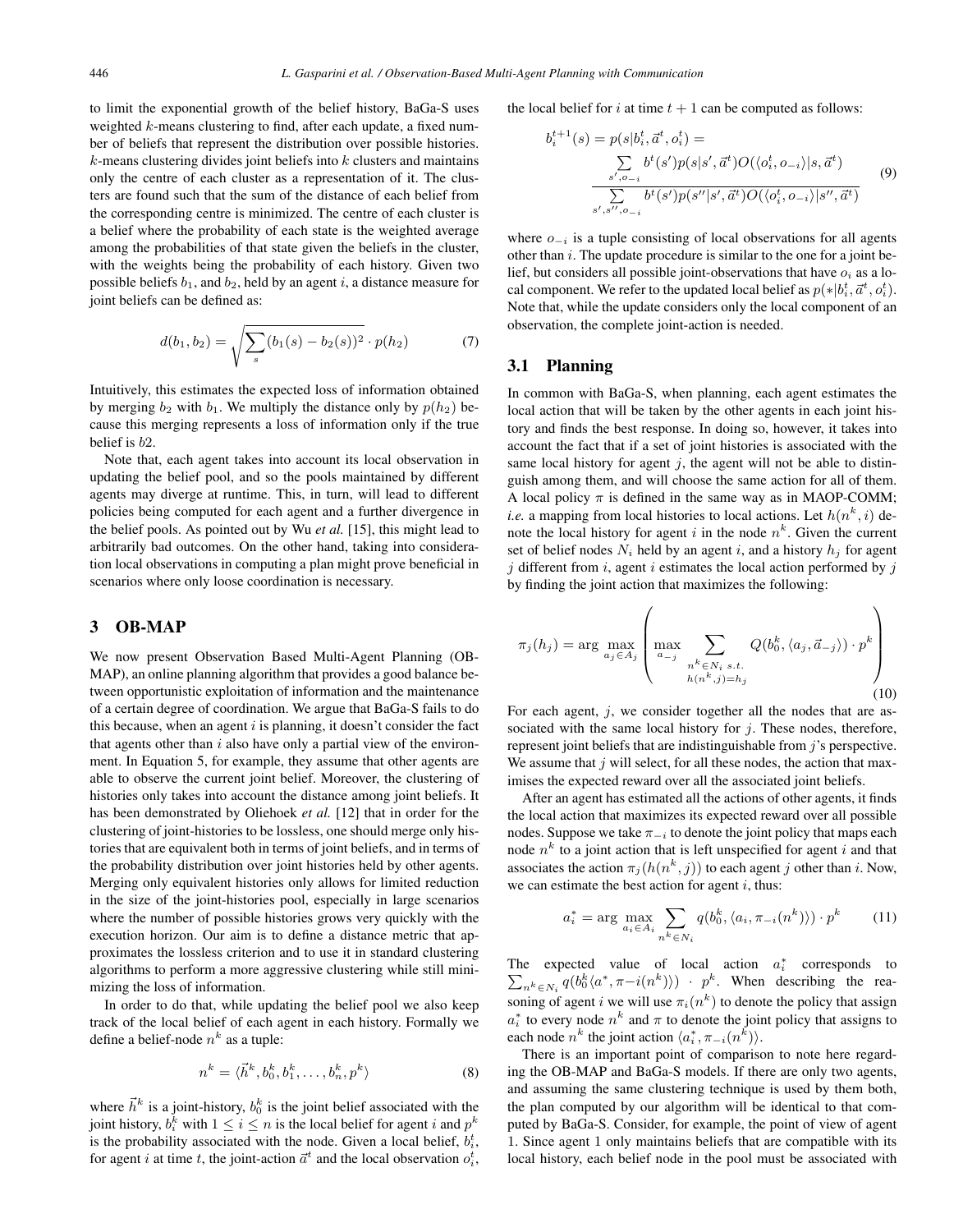to limit the exponential growth of the belief history, BaGa-S uses weighted  $k$ -means clustering to find, after each update, a fixed number of beliefs that represent the distribution over possible histories.  $k$ -means clustering divides joint beliefs into  $k$  clusters and maintains only the centre of each cluster as a representation of it. The clusters are found such that the sum of the distance of each belief from the corresponding centre is minimized. The centre of each cluster is a belief where the probability of each state is the weighted average among the probabilities of that state given the beliefs in the cluster, with the weights being the probability of each history. Given two possible beliefs  $b_1$ , and  $b_2$ , held by an agent i, a distance measure for joint beliefs can be defined as:

$$
d(b_1, b_2) = \sqrt{\sum_{s} (b_1(s) - b_2(s))^2} \cdot p(h_2)
$$
 (7)

Intuitively, this estimates the expected loss of information obtained by merging  $b_2$  with  $b_1$ . We multiply the distance only by  $p(h_2)$  because this merging represents a loss of information only if the true belief is <sup>b</sup>2.

Note that, each agent takes into account its local observation in updating the belief pool, and so the pools maintained by different agents may diverge at runtime. This, in turn, will lead to different policies being computed for each agent and a further divergence in the belief pools. As pointed out by Wu *et al.* [15], this might lead to arbitrarily bad outcomes. On the other hand, taking into consideration local observations in computing a plan might prove beneficial in scenarios where only loose coordination is necessary.

#### 3 OB-MAP

We now present Observation Based Multi-Agent Planning (OB-MAP), an online planning algorithm that provides a good balance between opportunistic exploitation of information and the maintenance of a certain degree of coordination. We argue that BaGa-S fails to do this because, when an agent  $i$  is planning, it doesn't consider the fact that agents other than  $i$  also have only a partial view of the environment. In Equation 5, for example, they assume that other agents are able to observe the current joint belief. Moreover, the clustering of histories only takes into account the distance among joint beliefs. It has been demonstrated by Oliehoek *et al.* [12] that in order for the clustering of joint-histories to be lossless, one should merge only histories that are equivalent both in terms of joint beliefs, and in terms of the probability distribution over joint histories held by other agents. Merging only equivalent histories only allows for limited reduction in the size of the joint-histories pool, especially in large scenarios where the number of possible histories grows very quickly with the execution horizon. Our aim is to define a distance metric that approximates the lossless criterion and to use it in standard clustering algorithms to perform a more aggressive clustering while still minimizing the loss of information.

In order to do that, while updating the belief pool we also keep track of the local belief of each agent in each history. Formally we define a belief-node  $n^k$  as a tuple:

$$
n^k = \langle \vec{h}^k, b_0^k, b_1^k, \dots, b_n^k, p^k \rangle \tag{8}
$$

where  $\vec{h}^k$  is a joint-history,  $b_0^k$  is the joint belief associated with the joint history,  $b_i^k$  with  $1 \le i \le n$  is the local belief for agent i and  $p^k$ <br>is the probability associated with the node. Given a local belief  $b_i^t$ is the probability associated with the node. Given a local belief,  $b_i^t$ , for agent *i* at time *t*, the joint-action  $\vec{a}^t$  and the local observation  $o_t^t$ , the local belief for i at time  $t + 1$  can be computed as follows:

$$
b_i^{t+1}(s) = p(s|b_i^t, \vec{a}^t, o_i^t) =
$$
  

$$
\frac{\sum_{s', o_{-i}} b^t(s')p(s|s', \vec{a}^t)O(\langle o_i^t, o_{-i} \rangle | s, \vec{a}^t)}{\sum_{s', s'', o_{-i}} b^t(s')p(s''|s', \vec{a}^t)O(\langle o_i^t, o_{-i} \rangle | s'', \vec{a}^t)}
$$
(9)

where  $o_{-i}$  is a tuple consisting of local observations for all agents other than  $i$ . The update procedure is similar to the one for a joint belief, but considers all possible joint-observations that have  $o_i$  as a local component. We refer to the updated local belief as  $p(*|b_i^t, \vec{a}^t, o_i^t)$ .<br>Note that, while the update considers only the local component of an Note that, while the update considers only the local component of an observation, the complete joint-action is needed.

# 3.1 Planning

In common with BaGa-S, when planning, each agent estimates the local action that will be taken by the other agents in each joint history and finds the best response. In doing so, however, it takes into account the fact that if a set of joint histories is associated with the same local history for agent  $j$ , the agent will not be able to distinguish among them, and will choose the same action for all of them. A local policy  $\pi$  is defined in the same way as in MAOP-COMM; *i.e.* a mapping from local histories to local actions. Let  $h(n^k, i)$  denote the local history for agent i in the node  $n^k$ . Given the current set of belief nodes  $N_i$  held by an agent i, and a history  $h_i$  for agent  $j$  different from  $i$ , agent  $i$  estimates the local action performed by  $j$ by finding the joint action that maximizes the following:

$$
\pi_j(h_j) = \arg \max_{a_j \in A_j} \left( \max_{\substack{a_{-j} \\ a_{-j}}} \sum_{\substack{n^k \in N_i \ s.t. \\ h(n^k, j) = h_j}} Q(b_0^k, \langle a_j, \vec{a}_{-j} \rangle) \cdot p^k \right)
$$
\n(10)

For each agent,  $i$ , we consider together all the nodes that are associated with the same local history for  $j$ . These nodes, therefore, represent joint beliefs that are indistinguishable from  $j$ 's perspective. We assume that  $j$  will select, for all these nodes, the action that maximises the expected reward over all the associated joint beliefs.

After an agent has estimated all the actions of other agents, it finds the local action that maximizes its expected reward over all possible nodes. Suppose we take  $\pi_{-i}$  to denote the joint policy that maps each node  $n^k$  to a joint action that is left unspecified for agent i and that associates the action  $\pi_j(h(n^k, j))$  to each agent j other than i. Now, we can estimate the best action for agent  $i$ , thus:

$$
a_i^* = \arg\max_{a_i \in A_i} \sum_{n^k \in N_i} q(b_0^k, \langle a_i, \pi_{-i}(n^k) \rangle) \cdot p^k \tag{11}
$$

The expected value of local action  $a_i^*$  corresponds to  $\sum_{n^k \in N_i} q(b_0^k \langle a^*, \pi - i(n^k) \rangle) \cdot p^k$ . When describing the reasoning of agent i we will use  $\pi_i(n^k)$  to denote the policy that assign  $a_i^*$  to every node  $n^k$  and  $\pi$  to denote the joint policy that assigns to each node  $n^k$  the joint action  $\langle a_i^*, \pi_{-i}(n^k) \rangle$ .<br>There is an important point of comparison

There is an important point of comparison to note here regarding the OB-MAP and BaGa-S models. If there are only two agents, and assuming the same clustering technique is used by them both, the plan computed by our algorithm will be identical to that computed by BaGa-S. Consider, for example, the point of view of agent 1. Since agent 1 only maintains beliefs that are compatible with its local history, each belief node in the pool must be associated with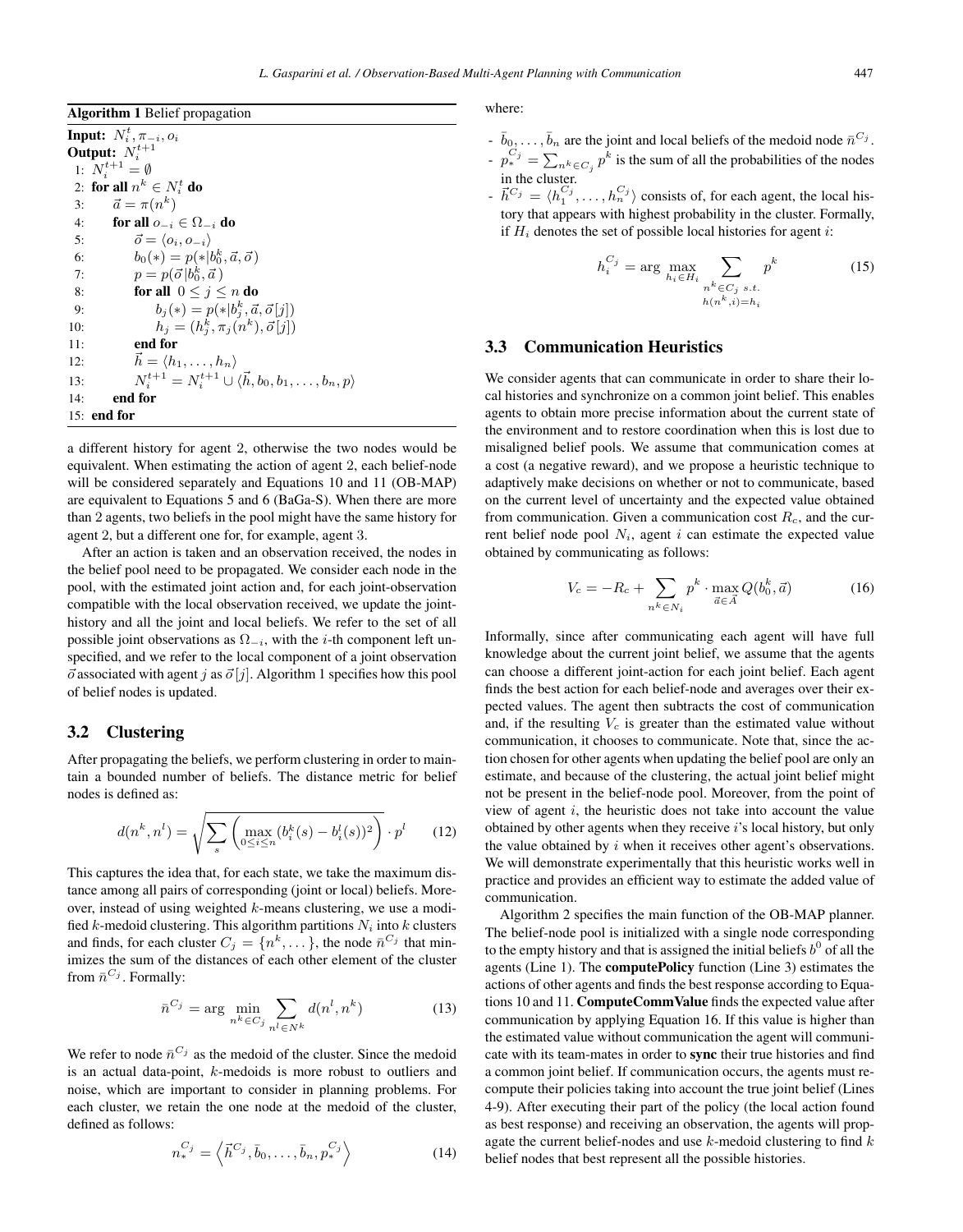| <b>Algorithm 1</b> Belief propagation                                                |
|--------------------------------------------------------------------------------------|
| <b>Input:</b> $N_i^t$ , $\pi_{-i}$ , $o_i$                                           |
| Output: $N_i^{t+1}$                                                                  |
| 1: $N_i^{t+1} = \emptyset$                                                           |
| 2: for all $n^k \in N_i^t$ do                                                        |
| $\vec{a} = \pi(n^k)$<br>3:                                                           |
| 4:<br>for all $o_{-i} \in \Omega_{-i}$ do                                            |
| $\vec{o} = \langle o_i, o_{-i} \rangle$<br>5:                                        |
| $b_0(*) = p(* b_0^k, \vec{a}, \vec{\sigma})$<br>6:                                   |
| $p = p(\vec{o} b_0^k, \vec{a})$<br>7:                                                |
| for all $0 \leq j \leq n$ do<br>8:                                                   |
| $b_i(*) = p(*)[b_i^k, \vec{a}, \vec{o}[j])$<br>9:                                    |
| $h_i = (h_i^k, \pi_i(n^k), \vec{o}[j])$<br>10:                                       |
| end for<br>11:                                                                       |
| $\vec{h} = \langle h_1, \ldots, h_n \rangle$<br>12:                                  |
| $N_i^{t+1} = N_i^{t+1} \cup \langle \vec{h}, b_0, b_1, \dots, b_n, p \rangle$<br>13: |
| end for<br>14:                                                                       |
| $15:$ end for                                                                        |

a different history for agent 2, otherwise the two nodes would be equivalent. When estimating the action of agent 2, each belief-node will be considered separately and Equations 10 and 11 (OB-MAP) are equivalent to Equations 5 and 6 (BaGa-S). When there are more than 2 agents, two beliefs in the pool might have the same history for agent 2, but a different one for, for example, agent 3.

After an action is taken and an observation received, the nodes in the belief pool need to be propagated. We consider each node in the pool, with the estimated joint action and, for each joint-observation compatible with the local observation received, we update the jointhistory and all the joint and local beliefs. We refer to the set of all possible joint observations as  $\Omega_{-i}$ , with the *i*-th component left unspecified, and we refer to the local component of a joint observation  $\vec{\sigma}$  associated with agent j as  $\vec{\sigma}$  [j]. Algorithm 1 specifies how this pool of belief nodes is undated of belief nodes is updated.

## 3.2 Clustering

After propagating the beliefs, we perform clustering in order to maintain a bounded number of beliefs. The distance metric for belief nodes is defined as:

$$
d(n^k, n^l) = \sqrt{\sum_{s} \left( \max_{0 \le i \le n} (b_i^k(s) - b_i^l(s))^2 \right)} \cdot p^l \qquad (12)
$$

This captures the idea that, for each state, we take the maximum distance among all pairs of corresponding (joint or local) beliefs. Moreover, instead of using weighted  $k$ -means clustering, we use a modified k-medoid clustering. This algorithm partitions  $N_i$  into k clusters and finds, for each cluster  $C_j = \{n^k, \dots\}$ , the node  $\bar{n}^{C_j}$  that minimizes the sum of the distances of each other element of the cluster from  $\bar{n}^{C_j}$ . Formally:

$$
\bar{n}^{C_j} = \arg \min_{n^k \in C_j} \sum_{n^l \in N^k} d(n^l, n^k) \tag{13}
$$

We refer to node  $\bar{n}^{C_j}$  as the medoid of the cluster. Since the medoid is an actual data-point, k-medoids is more robust to outliers and noise, which are important to consider in planning problems. For each cluster, we retain the one node at the medoid of the cluster, defined as follows:

$$
n_*^{C_j} = \left\langle \vec{h}^{C_j}, \bar{b}_0, \dots, \bar{b}_n, p_*^{C_j} \right\rangle \tag{14}
$$

where:

- $-\bar{b}_0,\ldots,\bar{b}_n$  are the joint and local beliefs of the medoid node  $\bar{n}^{C_j}$ .
- $-\frac{p_i^{C_j}}{p_i^{k_i}} = \sum_{n,k \in C_j} p^k$  is the sum of all the probabilities of the nodes in the cluster.
- $h^{-1} \vec{h}^{C_j} = \langle h_1^{C_j}, \ldots, h_n^{C_j} \rangle$  consists of, for each agent, the local history that appears with highest probability in the cluster. Formally, if  $H_i$  denotes the set of possible local histories for agent *i*:

$$
h_i^{C_j} = \arg \max_{h_i \in H_i} \sum_{\substack{n^k \in C_j \ s.t. \\ h(n^k, i) = h_i}} p^k
$$
 (15)

# 3.3 Communication Heuristics

We consider agents that can communicate in order to share their local histories and synchronize on a common joint belief. This enables agents to obtain more precise information about the current state of the environment and to restore coordination when this is lost due to misaligned belief pools. We assume that communication comes at a cost (a negative reward), and we propose a heuristic technique to adaptively make decisions on whether or not to communicate, based on the current level of uncertainty and the expected value obtained from communication. Given a communication cost  $R<sub>c</sub>$ , and the current belief node pool  $N_i$ , agent i can estimate the expected value obtained by communicating as follows:

$$
V_c = -R_c + \sum_{n^k \in N_i} p^k \cdot \max_{\vec{a} \in \vec{A}} Q(b_0^k, \vec{a})
$$
 (16)

Informally, since after communicating each agent will have full knowledge about the current joint belief, we assume that the agents can choose a different joint-action for each joint belief. Each agent finds the best action for each belief-node and averages over their expected values. The agent then subtracts the cost of communication and, if the resulting  $V_c$  is greater than the estimated value without communication, it chooses to communicate. Note that, since the action chosen for other agents when updating the belief pool are only an estimate, and because of the clustering, the actual joint belief might not be present in the belief-node pool. Moreover, from the point of view of agent  $i$ , the heuristic does not take into account the value obtained by other agents when they receive i's local history, but only the value obtained by  $i$  when it receives other agent's observations. We will demonstrate experimentally that this heuristic works well in practice and provides an efficient way to estimate the added value of communication.

Algorithm 2 specifies the main function of the OB-MAP planner. The belief-node pool is initialized with a single node corresponding to the empty history and that is assigned the initial beliefs  $b^0$  of all the agents (Line 1). The computePolicy function (Line 3) estimates the actions of other agents and finds the best response according to Equations 10 and 11. ComputeCommValue finds the expected value after communication by applying Equation 16. If this value is higher than the estimated value without communication the agent will communicate with its team-mates in order to sync their true histories and find a common joint belief. If communication occurs, the agents must recompute their policies taking into account the true joint belief (Lines 4-9). After executing their part of the policy (the local action found as best response) and receiving an observation, the agents will propagate the current belief-nodes and use  $k$ -medoid clustering to find  $k$ belief nodes that best represent all the possible histories.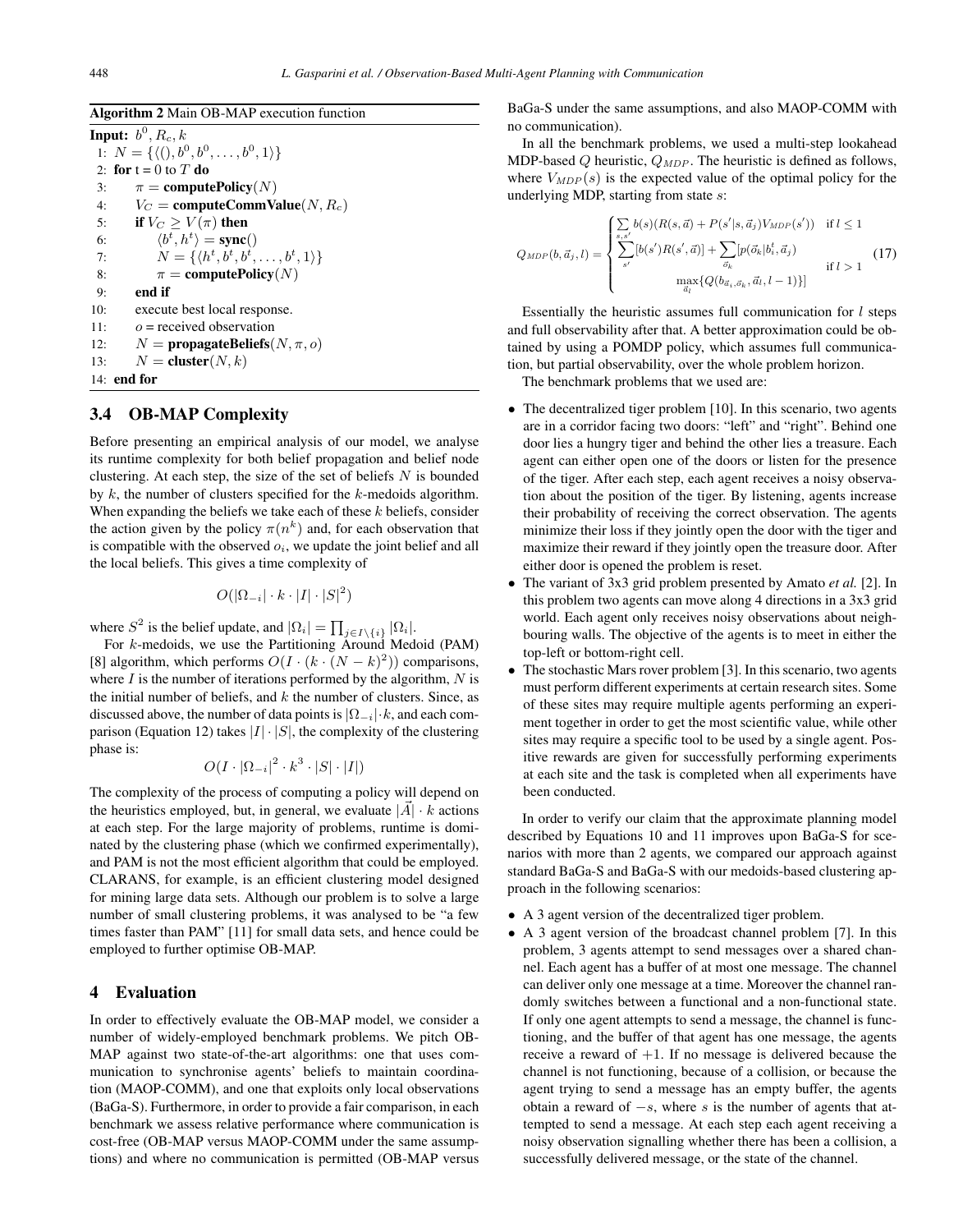Algorithm 2 Main OB-MAP execution function

**Input:**  $b^0$ ,  $R_c$ ,  $k$ 1:  $N = \{ \langle 0, b^0, b^0, \dots, b^0, 1 \rangle \}$ <br>2: for  $t = 0$  to  $T$  do 2: for  $t = 0$  to  $T$  do<br>3:  $\pi =$  compute 3:  $\pi = \text{computePolicy}(N)$ <br>4:  $V_C = \text{computeCommV}$ 4:  $V_C$  = computeCommValue(N, R<sub>c</sub>)<br>5: **if**  $V_C > V(\pi)$  then if  $V_C \geq V(\pi)$  then  $6:$  $\langle b^t, h^t \rangle = \text{sync}()$ <br> $\mathcal{N} = f/h^t h^t h^t$ 7:  $N = \{ \langle h^t, b^t, b^t, \ldots, b^t, 1 \rangle \}$ <br>8.  $\pi = \text{commutePolicy}(N)$ 8:  $\pi = \text{computePolicy}(N)$ <br>9: end if 9: end if 10: execute best local response. 11:  $o =$  received observation 12:  $N =$ **propagateBeliefs** $(N, \pi, o)$ <br>13:  $N =$ **cluster** $(N, k)$  $N =$  cluster(N, k) 14: end for

# 3.4 OB-MAP Complexity

Before presenting an empirical analysis of our model, we analyse its runtime complexity for both belief propagation and belief node clustering. At each step, the size of the set of beliefs  $N$  is bounded by  $k$ , the number of clusters specified for the  $k$ -medoids algorithm. When expanding the beliefs we take each of these  $k$  beliefs, consider the action given by the policy  $\pi(n^k)$  and, for each observation that is compatible with the observed  $o_i$ , we update the joint belief and all the local beliefs. This gives a time complexity of

$$
O(|\Omega_{-i}| \cdot k \cdot |I| \cdot |S|^2)
$$

where  $S^2$  is the belief update, and  $|\Omega_i| = \prod_{j \in I \setminus \{i\}} |\Omega_i|$ .<br>For k-medoids, we use the Partitioning Around Med

For k-medoids, we use the Partitioning Around Medoid (PAM) [8] algorithm, which performs  $O(I \cdot (k \cdot (N-k)^2))$  comparisons,<br>where *I* is the number of iterations performed by the algorithm *N* is where  $I$  is the number of iterations performed by the algorithm,  $N$  is the initial number of beliefs, and  $k$  the number of clusters. Since, as discussed above, the number of data points is  $|\Omega_{-i}| \cdot k$ , and each comparison (Equation 12) takes  $|I|\cdot|S|$ , the complexity of the clustering phase is:

$$
O(I \cdot |\Omega_{-i}|^2 \cdot k^3 \cdot |S| \cdot |I|)
$$

The complexity of the process of computing a policy will depend on the heuristics employed, but, in general, we evaluate  $|\vec{A}| \cdot k$  actions at each step. For the large majority of problems, runtime is dominated by the clustering phase (which we confirmed experimentally), and PAM is not the most efficient algorithm that could be employed. CLARANS, for example, is an efficient clustering model designed for mining large data sets. Although our problem is to solve a large number of small clustering problems, it was analysed to be "a few times faster than PAM" [11] for small data sets, and hence could be employed to further optimise OB-MAP.

# 4 Evaluation

In order to effectively evaluate the OB-MAP model, we consider a number of widely-employed benchmark problems. We pitch OB-MAP against two state-of-the-art algorithms: one that uses communication to synchronise agents' beliefs to maintain coordination (MAOP-COMM), and one that exploits only local observations (BaGa-S). Furthermore, in order to provide a fair comparison, in each benchmark we assess relative performance where communication is cost-free (OB-MAP versus MAOP-COMM under the same assumptions) and where no communication is permitted (OB-MAP versus

BaGa-S under the same assumptions, and also MAOP-COMM with no communication).

In all the benchmark problems, we used a multi-step lookahead MDP-based  $Q$  heuristic,  $Q_{MDP}$ . The heuristic is defined as follows, where  $V_{MDP}(s)$  is the expected value of the optimal policy for the underlying MDP, starting from state s:

$$
Q_{MDP}(b, \vec{a}_j, l) = \begin{cases} \sum_{s,s'} b(s)(R(s, \vec{a}) + P(s'|s, \vec{a}_j) V_{MDP}(s')) & \text{if } l \le 1\\ \sum_{s'} [b(s')R(s', \vec{a})] + \sum_{\vec{\sigma}_k} [p(\vec{\sigma}_k|b_i^t, \vec{a}_j) & \text{if } l > 1 \end{cases}
$$
(17)

Essentially the heuristic assumes full communication for  $l$  steps and full observability after that. A better approximation could be obtained by using a POMDP policy, which assumes full communication, but partial observability, over the whole problem horizon.

The benchmark problems that we used are:

- The decentralized tiger problem [10]. In this scenario, two agents are in a corridor facing two doors: "left" and "right". Behind one door lies a hungry tiger and behind the other lies a treasure. Each agent can either open one of the doors or listen for the presence of the tiger. After each step, each agent receives a noisy observation about the position of the tiger. By listening, agents increase their probability of receiving the correct observation. The agents minimize their loss if they jointly open the door with the tiger and maximize their reward if they jointly open the treasure door. After either door is opened the problem is reset.
- The variant of 3x3 grid problem presented by Amato *et al.* [2]. In this problem two agents can move along 4 directions in a 3x3 grid world. Each agent only receives noisy observations about neighbouring walls. The objective of the agents is to meet in either the top-left or bottom-right cell.
- The stochastic Mars rover problem [3]. In this scenario, two agents must perform different experiments at certain research sites. Some of these sites may require multiple agents performing an experiment together in order to get the most scientific value, while other sites may require a specific tool to be used by a single agent. Positive rewards are given for successfully performing experiments at each site and the task is completed when all experiments have been conducted.

In order to verify our claim that the approximate planning model described by Equations 10 and 11 improves upon BaGa-S for scenarios with more than 2 agents, we compared our approach against standard BaGa-S and BaGa-S with our medoids-based clustering approach in the following scenarios:

- A 3 agent version of the decentralized tiger problem.
- A 3 agent version of the broadcast channel problem [7]. In this problem, 3 agents attempt to send messages over a shared channel. Each agent has a buffer of at most one message. The channel can deliver only one message at a time. Moreover the channel randomly switches between a functional and a non-functional state. If only one agent attempts to send a message, the channel is functioning, and the buffer of that agent has one message, the agents receive a reward of  $+1$ . If no message is delivered because the channel is not functioning, because of a collision, or because the agent trying to send a message has an empty buffer, the agents obtain a reward of  $-s$ , where s is the number of agents that attempted to send a message. At each step each agent receiving a noisy observation signalling whether there has been a collision, a successfully delivered message, or the state of the channel.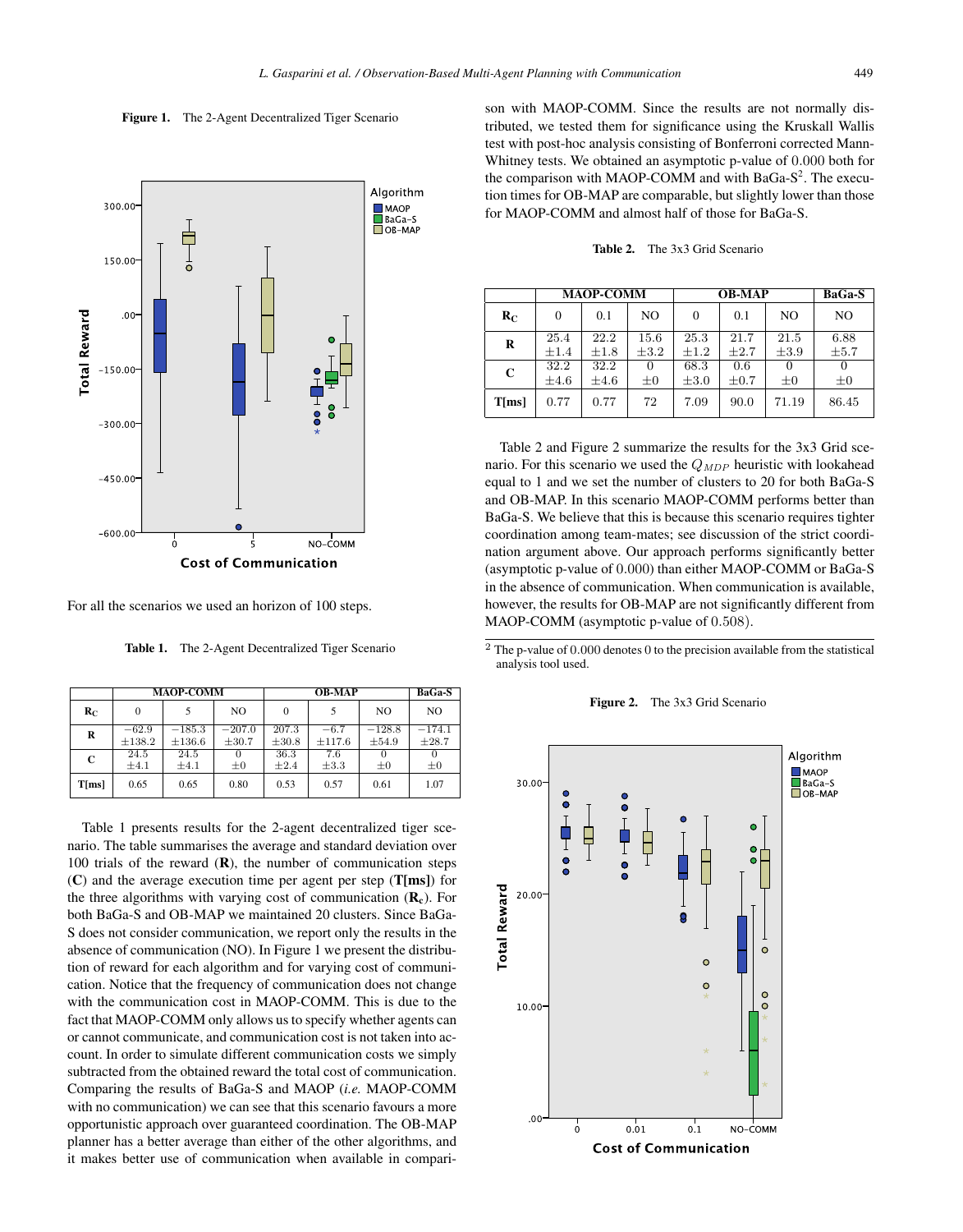#### Figure 1. The 2-Agent Decentralized Tiger Scenario



For all the scenarios we used an horizon of 100 steps.

Table 1. The 2-Agent Decentralized Tiger Scenario

|       | <b>MAOP-COMM</b>       |                         |                        | <b>OB-MAP</b>       |                  |                   | BaGa-S            |
|-------|------------------------|-------------------------|------------------------|---------------------|------------------|-------------------|-------------------|
| $R_C$ | $\Omega$               |                         | N <sub>O</sub>         | $\Omega$            |                  | N <sub>O</sub>    | N <sub>O</sub>    |
| R     | $-62.9$<br>$\pm 138.2$ | $-185.3$<br>$\pm 136.6$ | $-207.0$<br>$\pm 30.7$ | 207.3<br>$\pm 30.8$ | $-6.7$<br>±117.6 | $-128.8$<br>±54.9 | $-174.1$<br>±28.7 |
| C     | 24.5<br>$\pm 4.1$      | 24.5<br>$\pm 4.1$       | $\pm 0$                | 36.3<br>$\pm 2.4$   | 7.6<br>$\pm 3.3$ | $\pm 0$           | $\pm 0$           |
| T[ms] | 0.65                   | 0.65                    | 0.80                   | 0.53                | 0.57             | 0.61              | 1.07              |

Table 1 presents results for the 2-agent decentralized tiger scenario. The table summarises the average and standard deviation over 100 trials of the reward  $(R)$ , the number of communication steps  $(C)$  and the average execution time per agent per step (T[ms]) for the three algorithms with varying cost of communication  $(R_c)$ . For both BaGa-S and OB-MAP we maintained 20 clusters. Since BaGa-S does not consider communication, we report only the results in the absence of communication (NO). In Figure 1 we present the distribution of reward for each algorithm and for varying cost of communication. Notice that the frequency of communication does not change with the communication cost in MAOP-COMM. This is due to the fact that MAOP-COMM only allows us to specify whether agents can or cannot communicate, and communication cost is not taken into account. In order to simulate different communication costs we simply subtracted from the obtained reward the total cost of communication. Comparing the results of BaGa-S and MAOP (*i.e.* MAOP-COMM with no communication) we can see that this scenario favours a more opportunistic approach over guaranteed coordination. The OB-MAP planner has a better average than either of the other algorithms, and it makes better use of communication when available in comparison with MAOP-COMM. Since the results are not normally distributed, we tested them for significance using the Kruskall Wallis test with post-hoc analysis consisting of Bonferroni corrected Mann-Whitney tests. We obtained an asymptotic p-value of 0.000 both for the comparison with MAOP-COMM and with BaGa- $S<sup>2</sup>$ . The execution times for OB-MAP are comparable, but slightly lower than those for MAOP-COMM and almost half of those for BaGa-S.

Table 2. The 3x3 Grid Scenario

|             | <b>MAOP-COMM</b>  |                   |                   | <b>OB-MAP</b>     |                   |                   | <b>BaGa-S</b>       |
|-------------|-------------------|-------------------|-------------------|-------------------|-------------------|-------------------|---------------------|
| $R_{C}$     | $\Omega$          | 0.1               | NO                | $\Omega$          | 0.1               | NO                | NO                  |
| R           | 25.4<br>$\pm 1.4$ | 22.2<br>$\pm 1.8$ | 15.6<br>$\pm 3.2$ | 25.3<br>$\pm 1.2$ | 21.7<br>$\pm 2.7$ | 21.5<br>$\pm 3.9$ | 6.88<br>$\pm 5.7$   |
| $\mathbf C$ | 32.2<br>$\pm 4.6$ | 32.2<br>$\pm 4.6$ | 0<br>$_{\pm 0}$   | 68.3<br>$\pm 3.0$ | 0.6<br>$\pm 0.7$  | 0<br>$\pm 0$      | $\Omega$<br>$\pm 0$ |
| T[ms]       | 0.77              | 0.77              | 72                | 7.09              | 90.0              | 71.19             | 86.45               |

Table 2 and Figure 2 summarize the results for the 3x3 Grid scenario. For this scenario we used the  $Q_{MDP}$  heuristic with lookahead equal to 1 and we set the number of clusters to 20 for both BaGa-S and OB-MAP. In this scenario MAOP-COMM performs better than BaGa-S. We believe that this is because this scenario requires tighter coordination among team-mates; see discussion of the strict coordination argument above. Our approach performs significantly better (asymptotic p-value of 0.000) than either MAOP-COMM or BaGa-S in the absence of communication. When communication is available, however, the results for OB-MAP are not significantly different from MAOP-COMM (asymptotic p-value of 0.508).

 $\overline{2}$  The p-value of 0.000 denotes 0 to the precision available from the statistical analysis tool used.



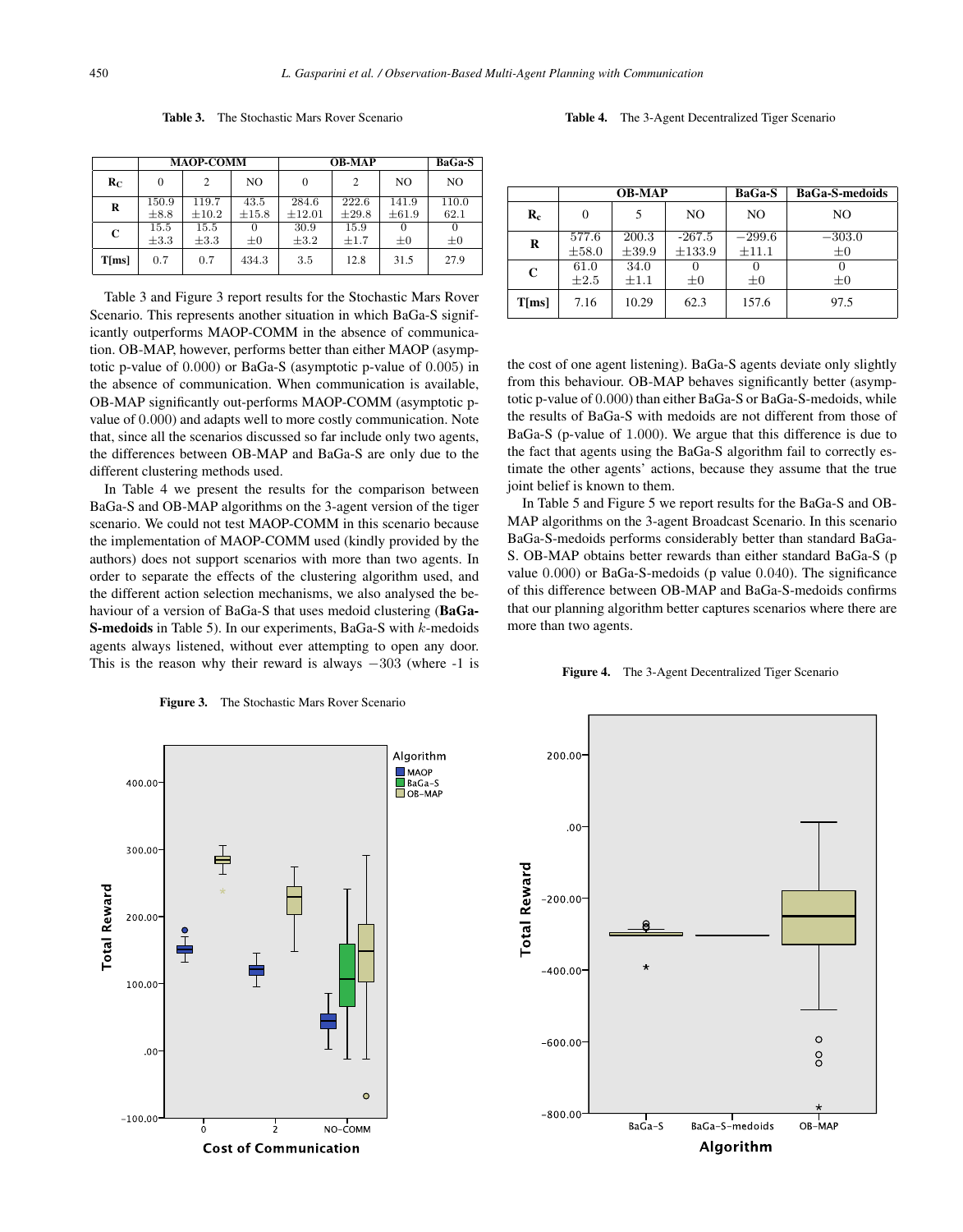|         | <b>MAOP-COMM</b>   |                     |                     | <b>OB-MAP</b>        |                        |                     | BaGa-S                  |
|---------|--------------------|---------------------|---------------------|----------------------|------------------------|---------------------|-------------------------|
| $R_{C}$ | $\Omega$           | 2                   | NO                  | $\Omega$             | $\mathcal{D}_{\alpha}$ | NO                  | N <sub>O</sub>          |
| R       | 150.9<br>$\pm 8.8$ | 119.7<br>$\pm 10.2$ | 43.5<br>$\pm 15.8$  | 284.6<br>$\pm 12.01$ | 222.6<br>$\pm 29.8$    | 141.9<br>$\pm 61.9$ | 110.0<br>62.1           |
| C       | 15.5<br>$\pm 3.3$  | 15.5<br>$\pm 3.3$   | $\Omega$<br>$\pm 0$ | 30.9<br>$\pm 3.2$    | 15.9<br>$\pm 1.7$      | 0<br>$\pm 0$        | $\mathbf{0}$<br>$\pm 0$ |
| T[ms]   | 0.7                | 0.7                 | 434.3               | 3.5                  | 12.8                   | 31.5                | 27.9                    |

Table 3. The Stochastic Mars Rover Scenario



Table 3 and Figure 3 report results for the Stochastic Mars Rover Scenario. This represents another situation in which BaGa-S significantly outperforms MAOP-COMM in the absence of communication. OB-MAP, however, performs better than either MAOP (asymptotic p-value of 0.000) or BaGa-S (asymptotic p-value of 0.005) in the absence of communication. When communication is available, OB-MAP significantly out-performs MAOP-COMM (asymptotic pvalue of 0.000) and adapts well to more costly communication. Note that, since all the scenarios discussed so far include only two agents, the differences between OB-MAP and BaGa-S are only due to the different clustering methods used.

In Table 4 we present the results for the comparison between BaGa-S and OB-MAP algorithms on the 3-agent version of the tiger scenario. We could not test MAOP-COMM in this scenario because the implementation of MAOP-COMM used (kindly provided by the authors) does not support scenarios with more than two agents. In order to separate the effects of the clustering algorithm used, and the different action selection mechanisms, we also analysed the behaviour of a version of BaGa-S that uses medoid clustering (BaGa-S-medoids in Table 5). In our experiments, BaGa-S with k-medoids agents always listened, without ever attempting to open any door. This is the reason why their reward is always  $-303$  (where  $-1$  is

Figure 3. The Stochastic Mars Rover Scenario

|                  | <b>OB-MAP</b>       |                     |                         | BaGa-S                 | <b>BaGa-S-medoids</b> |
|------------------|---------------------|---------------------|-------------------------|------------------------|-----------------------|
| $\mathbf{R}_{c}$ | $\theta$            | 5                   | NO.                     | NO.                    | NO.                   |
| R                | 577.6<br>$\pm 58.0$ | 200.3<br>$\pm 39.9$ | $-267.5$<br>$\pm 133.9$ | $-299.6$<br>$\pm 11.1$ | $-303.0$<br>$\pm 0$   |
| C                | 61.0<br>$\pm 2.5$   | 34.0<br>$\pm 1.1$   | $\pm 0$                 | $\pm 0$                | $\pm 0$               |
| $T$ [ms]         | 7.16                | 10.29               | 62.3                    | 157.6                  | 97.5                  |

the cost of one agent listening). BaGa-S agents deviate only slightly from this behaviour. OB-MAP behaves significantly better (asymptotic p-value of 0.000) than either BaGa-S or BaGa-S-medoids, while the results of BaGa-S with medoids are not different from those of BaGa-S (p-value of 1.000). We argue that this difference is due to the fact that agents using the BaGa-S algorithm fail to correctly estimate the other agents' actions, because they assume that the true joint belief is known to them.

In Table 5 and Figure 5 we report results for the BaGa-S and OB-MAP algorithms on the 3-agent Broadcast Scenario. In this scenario BaGa-S-medoids performs considerably better than standard BaGa-S. OB-MAP obtains better rewards than either standard BaGa-S (p value 0.000) or BaGa-S-medoids (p value 0.040). The significance of this difference between OB-MAP and BaGa-S-medoids confirms that our planning algorithm better captures scenarios where there are more than two agents.





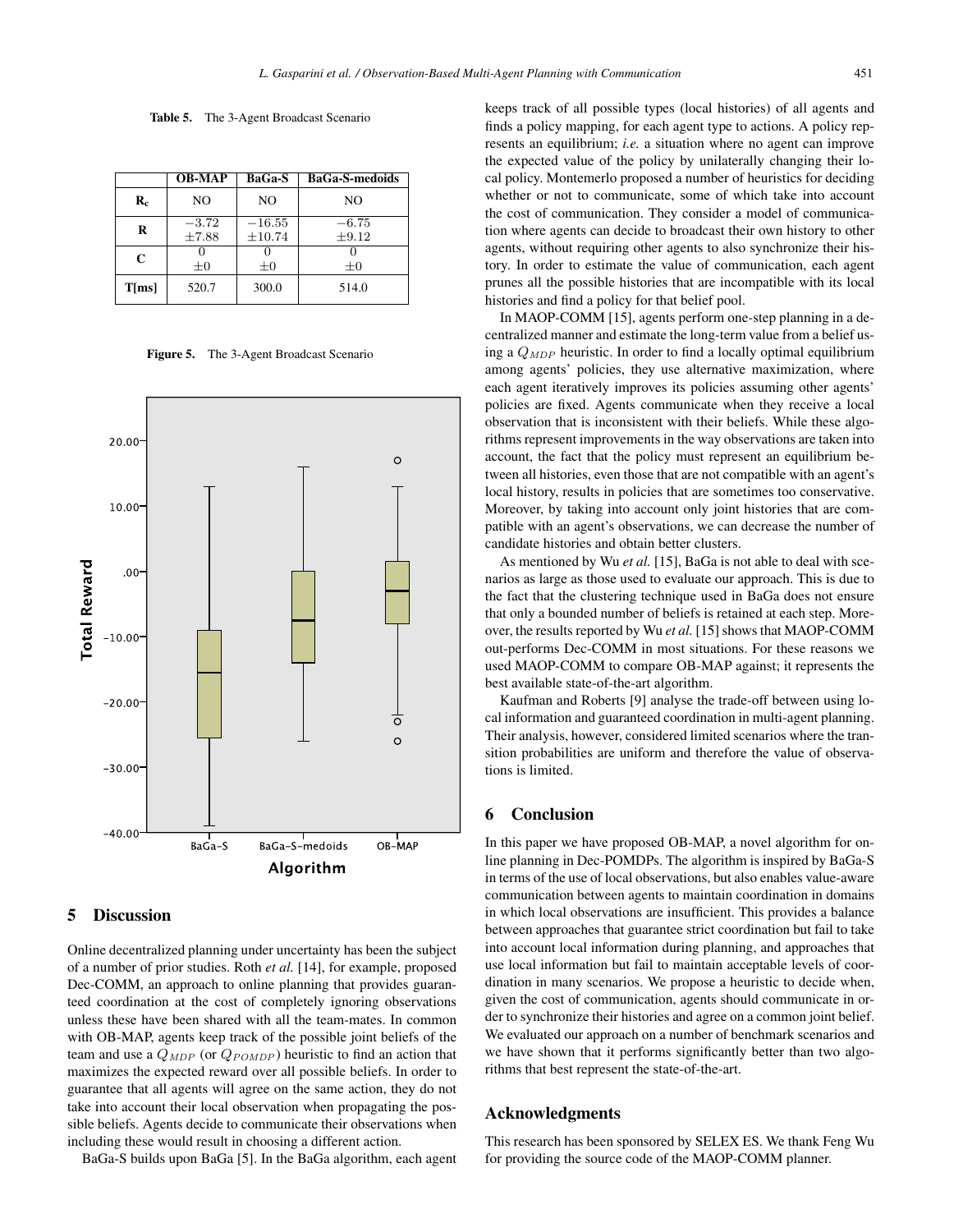Table 5. The 3-Agent Broadcast Scenario

|          | <b>OB-MAP</b>         | BaGa-S             | <b>BaGa-S-medoids</b> |
|----------|-----------------------|--------------------|-----------------------|
| $R_c$    | NO                    | NO.                | NO.                   |
| R        | $-3.72$<br>$\pm 7.88$ | $-16.55$<br>±10.74 | $-6.75$<br>$\pm 9.12$ |
| C        | $\pm 0$               | $\pm 0$            | $\pm 0$               |
| $T$ [ms] | 520.7                 | 300.0              | 514.0                 |

Figure 5. The 3-Agent Broadcast Scenario



#### 5 Discussion

Online decentralized planning under uncertainty has been the subject of a number of prior studies. Roth *et al.* [14], for example, proposed Dec-COMM, an approach to online planning that provides guaranteed coordination at the cost of completely ignoring observations unless these have been shared with all the team-mates. In common with OB-MAP, agents keep track of the possible joint beliefs of the team and use a  $Q_{MDP}$  (or  $Q_{POMDP}$ ) heuristic to find an action that maximizes the expected reward over all possible beliefs. In order to guarantee that all agents will agree on the same action, they do not take into account their local observation when propagating the possible beliefs. Agents decide to communicate their observations when including these would result in choosing a different action.

BaGa-S builds upon BaGa [5]. In the BaGa algorithm, each agent

keeps track of all possible types (local histories) of all agents and finds a policy mapping, for each agent type to actions. A policy represents an equilibrium; *i.e.* a situation where no agent can improve the expected value of the policy by unilaterally changing their local policy. Montemerlo proposed a number of heuristics for deciding whether or not to communicate, some of which take into account the cost of communication. They consider a model of communication where agents can decide to broadcast their own history to other agents, without requiring other agents to also synchronize their history. In order to estimate the value of communication, each agent prunes all the possible histories that are incompatible with its local histories and find a policy for that belief pool.

In MAOP-COMM [15], agents perform one-step planning in a decentralized manner and estimate the long-term value from a belief using a  $Q_{MDP}$  heuristic. In order to find a locally optimal equilibrium among agents' policies, they use alternative maximization, where each agent iteratively improves its policies assuming other agents' policies are fixed. Agents communicate when they receive a local observation that is inconsistent with their beliefs. While these algorithms represent improvements in the way observations are taken into account, the fact that the policy must represent an equilibrium between all histories, even those that are not compatible with an agent's local history, results in policies that are sometimes too conservative. Moreover, by taking into account only joint histories that are compatible with an agent's observations, we can decrease the number of candidate histories and obtain better clusters.

As mentioned by Wu *et al.* [15], BaGa is not able to deal with scenarios as large as those used to evaluate our approach. This is due to the fact that the clustering technique used in BaGa does not ensure that only a bounded number of beliefs is retained at each step. Moreover, the results reported by Wu *et al.* [15] shows that MAOP-COMM out-performs Dec-COMM in most situations. For these reasons we used MAOP-COMM to compare OB-MAP against; it represents the best available state-of-the-art algorithm.

Kaufman and Roberts [9] analyse the trade-off between using local information and guaranteed coordination in multi-agent planning. Their analysis, however, considered limited scenarios where the transition probabilities are uniform and therefore the value of observations is limited.

### 6 Conclusion

In this paper we have proposed OB-MAP, a novel algorithm for online planning in Dec-POMDPs. The algorithm is inspired by BaGa-S in terms of the use of local observations, but also enables value-aware communication between agents to maintain coordination in domains in which local observations are insufficient. This provides a balance between approaches that guarantee strict coordination but fail to take into account local information during planning, and approaches that use local information but fail to maintain acceptable levels of coordination in many scenarios. We propose a heuristic to decide when, given the cost of communication, agents should communicate in order to synchronize their histories and agree on a common joint belief. We evaluated our approach on a number of benchmark scenarios and we have shown that it performs significantly better than two algorithms that best represent the state-of-the-art.

### Acknowledgments

This research has been sponsored by SELEX ES. We thank Feng Wu for providing the source code of the MAOP-COMM planner.